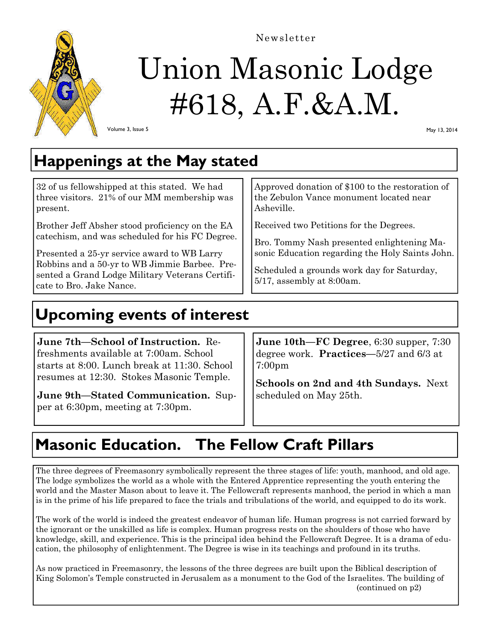

# Union Masonic Lodge #618, A.F.&A.M.

Newsletter

Volume 3, Issue 5

May 13, 2014

## **Happenings at the May stated**

32 of us fellowshipped at this stated. We had three visitors. 21% of our MM membership was present.

Brother Jeff Absher stood proficiency on the EA catechism, and was scheduled for his FC Degree.

Presented a 25-yr service award to WB Larry Robbins and a 50-yr to WB Jimmie Barbee. Presented a Grand Lodge Military Veterans Certificate to Bro. Jake Nance.

Approved donation of \$100 to the restoration of the Zebulon Vance monument located near Asheville.

Received two Petitions for the Degrees.

Bro. Tommy Nash presented enlightening Masonic Education regarding the Holy Saints John.

Scheduled a grounds work day for Saturday, 5/17, assembly at 8:00am.

## **Upcoming events of interest**

**June 7th—School of Instruction.** Refreshments available at 7:00am. School starts at 8:00. Lunch break at 11:30. School resumes at 12:30. Stokes Masonic Temple.

**June 9th—Stated Communication.** Supper at 6:30pm, meeting at 7:30pm.

**June 10th—FC Degree**, 6:30 supper, 7:30 degree work. **Practices—**5/27 and 6/3 at 7:00pm

**Schools on 2nd and 4th Sundays.** Next scheduled on May 25th.

## **Masonic Education. The Fellow Craft Pillars**

The three degrees of Freemasonry symbolically represent the three stages of life: youth, manhood, and old age. The lodge symbolizes the world as a whole with the Entered Apprentice representing the youth entering the world and the Master Mason about to leave it. The Fellowcraft represents manhood, the period in which a man is in the prime of his life prepared to face the trials and tribulations of the world, and equipped to do its work.

The work of the world is indeed the greatest endeavor of human life. Human progress is not carried forward by the ignorant or the unskilled as life is complex. Human progress rests on the shoulders of those who have knowledge, skill, and experience. This is the principal idea behind the Fellowcraft Degree. It is a drama of education, the philosophy of enlightenment. The Degree is wise in its teachings and profound in its truths.

As now practiced in Freemasonry, the lessons of the three degrees are built upon the Biblical description of King Solomon's Temple constructed in Jerusalem as a monument to the God of the Israelites. The building of (continued on p2)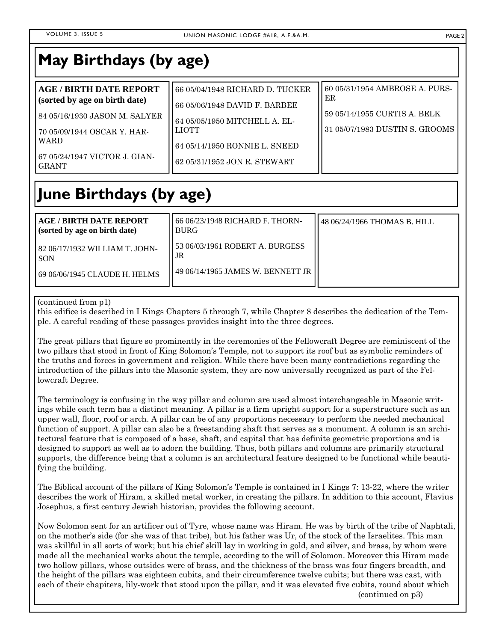#### **May Birthdays (by age)**

| <b>AGE / BIRTH DATE REPORT</b><br>(sorted by age on birth date)         | 66 05/04/1948 RICHARD D. TUCKER<br>66 05/06/1948 DAVID F. BARBEE               | 60 05/31/1954 AMBROSE A. PURS-<br>ER                           |
|-------------------------------------------------------------------------|--------------------------------------------------------------------------------|----------------------------------------------------------------|
| l 84 05/16/1930 JASON M. SALYER<br>[70 05/09/1944 OSCAR Y. HAR-<br>WARD | 64 05/05/1950 MITCHELL A. EL-<br><b>LIOTT</b><br>64 05/14/1950 RONNIE L. SNEED | 59 05/14/1955 CURTIS A. BELK<br>31 05/07/1983 DUSTIN S. GROOMS |
| 67 05/24/1947 VICTOR J. GIAN-<br><b>GRANT</b>                           | 62 05/31/1952 JON R. STEWART                                                   |                                                                |

## **June Birthdays (by age)**

| AGE / BIRTH DATE REPORT<br>(sorted by age on birth date)                   | 66 06/23/1948 RICHARD F. THORN-<br>I BURG-                                     | 148 06/24/1966 THOMAS B. HILL |
|----------------------------------------------------------------------------|--------------------------------------------------------------------------------|-------------------------------|
| 182 06/17/1932 WILLIAM T. JOHN-<br>I SON<br>169 06/06/1945 CLAUDE H. HELMS | 153 06/03/1961 ROBERT A. BURGESS<br>. JR<br>149 06/14/1965 JAMES W. BENNETT JR |                               |

#### (continued from p1)

this edifice is described in I Kings Chapters 5 through 7, while Chapter 8 describes the dedication of the Temple. A careful reading of these passages provides insight into the three degrees.

The great pillars that figure so prominently in the ceremonies of the Fellowcraft Degree are reminiscent of the two pillars that stood in front of King Solomon's Temple, not to support its roof but as symbolic reminders of the truths and forces in government and religion. While there have been many contradictions regarding the introduction of the pillars into the Masonic system, they are now universally recognized as part of the Fellowcraft Degree.

The terminology is confusing in the way pillar and column are used almost interchangeable in Masonic writings while each term has a distinct meaning. A pillar is a firm upright support for a superstructure such as an upper wall, floor, roof or arch. A pillar can be of any proportions necessary to perform the needed mechanical function of support. A pillar can also be a freestanding shaft that serves as a monument. A column is an architectural feature that is composed of a base, shaft, and capital that has definite geometric proportions and is designed to support as well as to adorn the building. Thus, both pillars and columns are primarily structural supports, the difference being that a column is an architectural feature designed to be functional while beautifying the building.

The Biblical account of the pillars of King Solomon's Temple is contained in I Kings 7: 13-22, where the writer describes the work of Hiram, a skilled metal worker, in creating the pillars. In addition to this account, Flavius Josephus, a first century Jewish historian, provides the following account.

Now Solomon sent for an artificer out of Tyre, whose name was Hiram. He was by birth of the tribe of Naphtali, on the mother's side (for she was of that tribe), but his father was Ur, of the stock of the Israelites. This man was skillful in all sorts of work; but his chief skill lay in working in gold, and silver, and brass, by whom were made all the mechanical works about the temple, according to the will of Solomon. Moreover this Hiram made two hollow pillars, whose outsides were of brass, and the thickness of the brass was four fingers breadth, and the height of the pillars was eighteen cubits, and their circumference twelve cubits; but there was cast, with each of their chapiters, lily-work that stood upon the pillar, and it was elevated five cubits, round about which (continued on p3)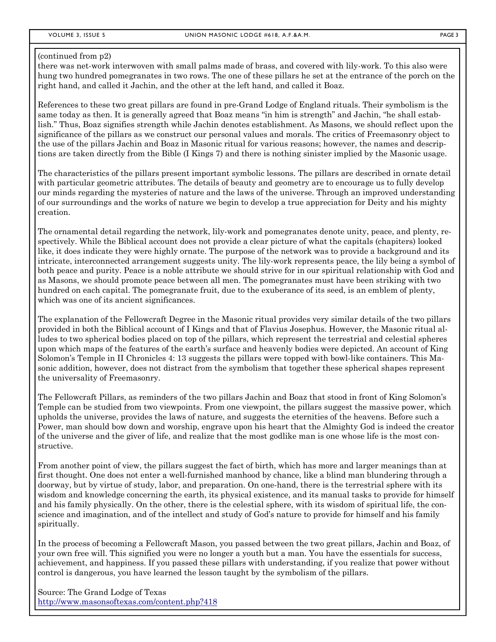there was net-work interwoven with small palms made of brass, and covered with lily-work. To this also were hung two hundred pomegranates in two rows. The one of these pillars he set at the entrance of the porch on the right hand, and called it Jachin, and the other at the left hand, and called it Boaz.

References to these two great pillars are found in pre-Grand Lodge of England rituals. Their symbolism is the same today as then. It is generally agreed that Boaz means "in him is strength" and Jachin, "he shall establish." Thus, Boaz signifies strength while Jachin denotes establishment. As Masons, we should reflect upon the significance of the pillars as we construct our personal values and morals. The critics of Freemasonry object to the use of the pillars Jachin and Boaz in Masonic ritual for various reasons; however, the names and descriptions are taken directly from the Bible (I Kings 7) and there is nothing sinister implied by the Masonic usage.

The characteristics of the pillars present important symbolic lessons. The pillars are described in ornate detail with particular geometric attributes. The details of beauty and geometry are to encourage us to fully develop our minds regarding the mysteries of nature and the laws of the universe. Through an improved understanding of our surroundings and the works of nature we begin to develop a true appreciation for Deity and his mighty creation.

The ornamental detail regarding the network, lily-work and pomegranates denote unity, peace, and plenty, respectively. While the Biblical account does not provide a clear picture of what the capitals (chapiters) looked like, it does indicate they were highly ornate. The purpose of the network was to provide a background and its intricate, interconnected arrangement suggests unity. The lily-work represents peace, the lily being a symbol of both peace and purity. Peace is a noble attribute we should strive for in our spiritual relationship with God and as Masons, we should promote peace between all men. The pomegranates must have been striking with two hundred on each capital. The pomegranate fruit, due to the exuberance of its seed, is an emblem of plenty, which was one of its ancient significances.

The explanation of the Fellowcraft Degree in the Masonic ritual provides very similar details of the two pillars provided in both the Biblical account of I Kings and that of Flavius Josephus. However, the Masonic ritual alludes to two spherical bodies placed on top of the pillars, which represent the terrestrial and celestial spheres upon which maps of the features of the earth's surface and heavenly bodies were depicted. An account of King Solomon's Temple in II Chronicles 4: 13 suggests the pillars were topped with bowl-like containers. This Masonic addition, however, does not distract from the symbolism that together these spherical shapes represent the universality of Freemasonry.

The Fellowcraft Pillars, as reminders of the two pillars Jachin and Boaz that stood in front of King Solomon's Temple can be studied from two viewpoints. From one viewpoint, the pillars suggest the massive power, which upholds the universe, provides the laws of nature, and suggests the eternities of the heavens. Before such a Power, man should bow down and worship, engrave upon his heart that the Almighty God is indeed the creator of the universe and the giver of life, and realize that the most godlike man is one whose life is the most constructive.

From another point of view, the pillars suggest the fact of birth, which has more and larger meanings than at first thought. One does not enter a well-furnished manhood by chance, like a blind man blundering through a doorway, but by virtue of study, labor, and preparation. On one-hand, there is the terrestrial sphere with its wisdom and knowledge concerning the earth, its physical existence, and its manual tasks to provide for himself and his family physically. On the other, there is the celestial sphere, with its wisdom of spiritual life, the conscience and imagination, and of the intellect and study of God's nature to provide for himself and his family spiritually.

In the process of becoming a Fellowcraft Mason, you passed between the two great pillars, Jachin and Boaz, of your own free will. This signified you were no longer a youth but a man. You have the essentials for success, achievement, and happiness. If you passed these pillars with understanding, if you realize that power without control is dangerous, you have learned the lesson taught by the symbolism of the pillars.

Source: The Grand Lodge of Texas http://www.masonsoftexas.com/content.php?418